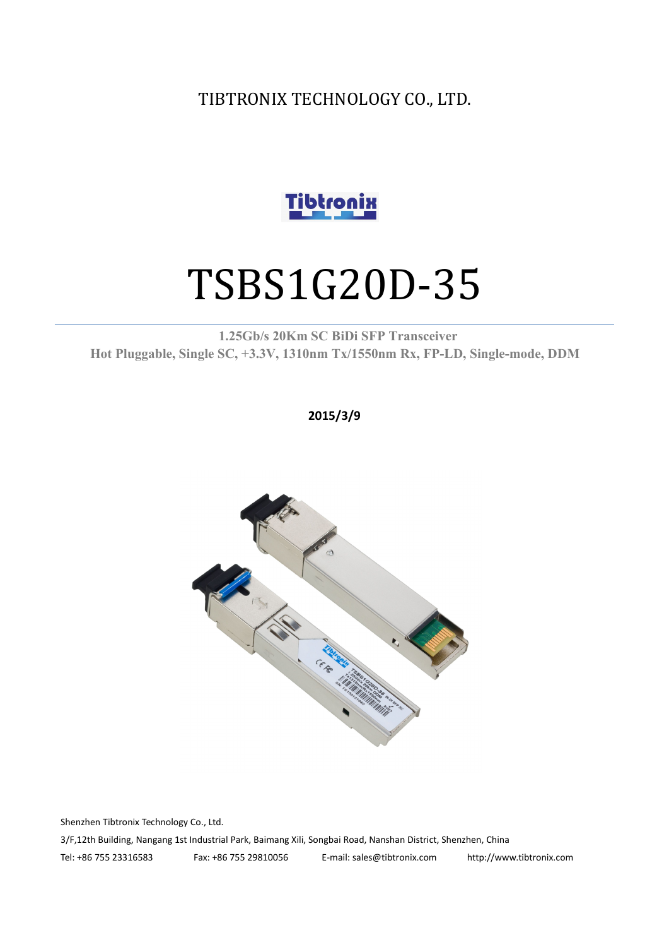TIBTRONIX TECHNOLOGY CO., LTD.



# TSBS1G20D-35

**1.25Gb/s 20Km SC BiDi SFP Transceiver Hot Pluggable, Single SC, +3.3V, 1310nm Tx/1550nm Rx, FP-LD, Single-mode, DDM**

**2015/3/9**



Shenzhen Tibtronix Technology Co., Ltd.

3/F,12th Building, Nangang 1st Industrial Park, Baimang Xili, Songbai Road, Nanshan District, Shenzhen, China

Tel: +86 755 23316583 Fax: +86 755 29810056 E-mail: sales@tibtronix.com http://www.tibtronix.com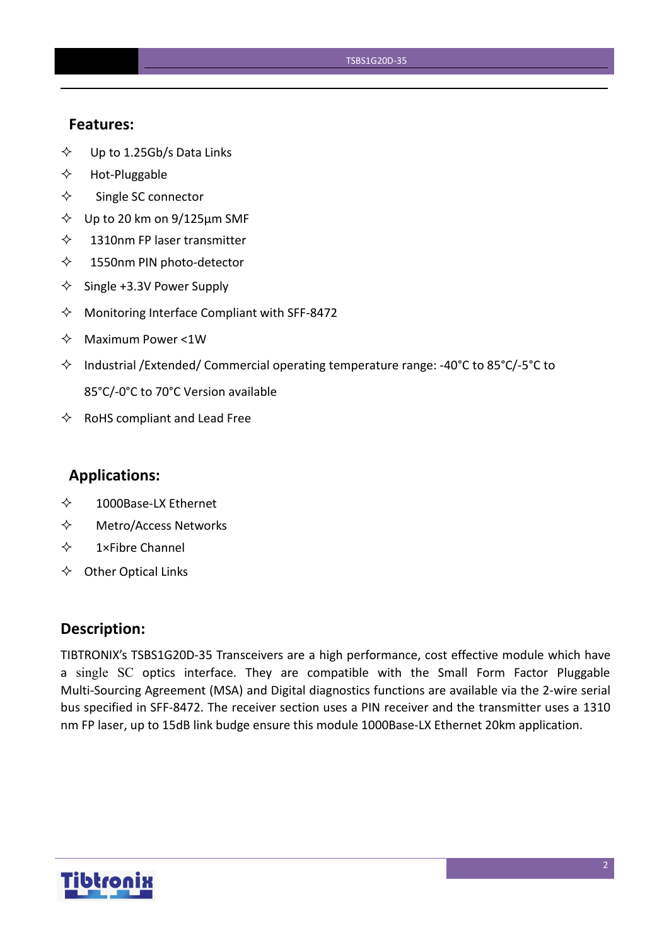### **Features:**

- $\diamond$  Up to 1.25Gb/s Data Links
- $\Leftrightarrow$  Hot-Pluggable
- $\Leftrightarrow$  Single SC connector
- $\diamond$  Up to 20 km on 9/125 µm SMF
- $\diamond$  1310nm FP laser transmitter
- 1550nm PIN photo-detector
- $\diamond$  Single +3.3V Power Supply
- $\Diamond$  Monitoring Interface Compliant with SFF-8472
- $\Leftrightarrow$  Maximum Power <1W
- $\Diamond$  Industrial /Extended/ Commercial operating temperature range: -40°C to 85°C/-5°C to 85°C/-0°C to 70°C Version available
- $\Leftrightarrow$  RoHS compliant and Lead Free

## **Applications:**

- 1000Base-LX Ethernet
- Metro/Access Networks
- $\diamond$  1×Fibre Channel
- $\Leftrightarrow$  Other Optical Links

### **Description:**

TIBTRONIX's TSBS1G20D-35 Transceivers are a high performance, cost effective module which have a single SC optics interface. They are compatible with the Small Form Factor Pluggable Multi-Sourcing Agreement (MSA) and Digital diagnostics functions are available via the 2-wire serial bus specified in SFF-8472. The receiver section uses a PIN receiver and the transmitter uses a 1310 nm FP laser, up to 15dB link budge ensure this module 1000Base-LX Ethernet 20km application.

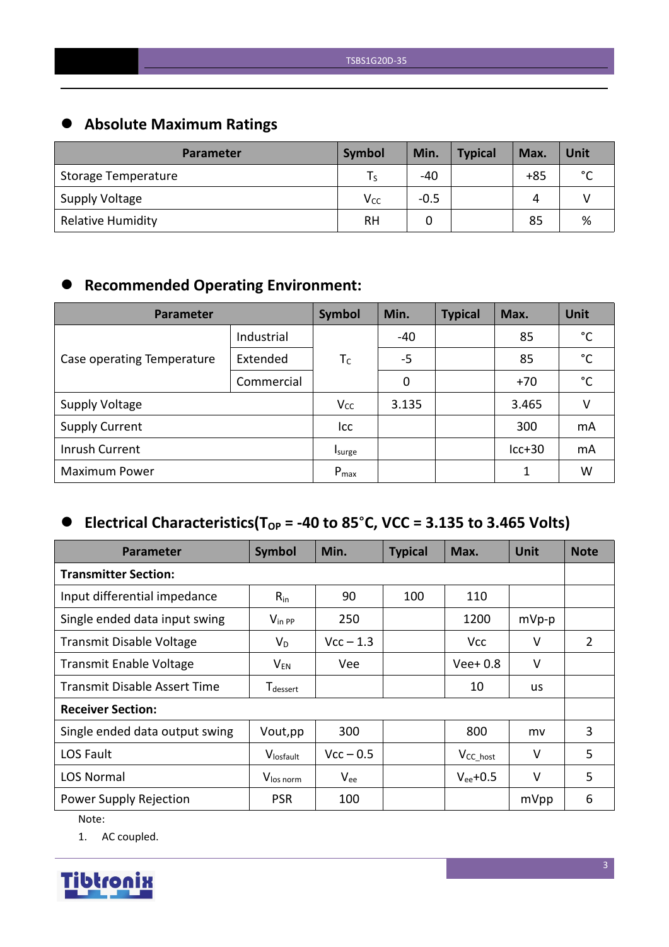## **Absolute Maximum Ratings**

| <b>Parameter</b>         | Symbol   | Min.   | <b>Typical</b> | Max.  | Unit        |
|--------------------------|----------|--------|----------------|-------|-------------|
| Storage Temperature      | l S      | -40    |                | $+85$ | $\sim$<br>◡ |
| Supply Voltage           | $V_{CC}$ | $-0.5$ |                | 4     |             |
| <b>Relative Humidity</b> | RH       |        |                | 85    | %           |

## **Recommended Operating Environment:**

| <b>Parameter</b>           | Symbol     | Min.      | <b>Typical</b> | Max. | Unit     |              |
|----------------------------|------------|-----------|----------------|------|----------|--------------|
|                            | Industrial |           | $-40$          |      | 85       | $^{\circ}$ C |
| Case operating Temperature | Extended   | $T_c$     | $-5$           |      | 85       | $^{\circ}$ C |
|                            | Commercial |           | 0              |      | $+70$    | $^{\circ}$ C |
| <b>Supply Voltage</b>      |            | $V_{CC}$  | 3.135          |      | 3.465    | V            |
| <b>Supply Current</b>      |            | Icc       |                |      | 300      | mA           |
| Inrush Current             |            | Isurge    |                |      | $lcc+30$ | mA           |
| <b>Maximum Power</b>       |            | $P_{max}$ |                |      | 1        | W            |

## $\bullet$  Electrical Characteristics(T<sub>OP</sub> = -40 to 85°C, VCC = 3.135 to 3.465 Volts)

| <b>Parameter</b>                    | Symbol                      | Min.        | <b>Typical</b> | Max.           | <b>Unit</b> | <b>Note</b> |
|-------------------------------------|-----------------------------|-------------|----------------|----------------|-------------|-------------|
| <b>Transmitter Section:</b>         |                             |             |                |                |             |             |
| Input differential impedance        | $R_{in}$                    | 90          | 100            | 110            |             |             |
| Single ended data input swing       | $V_{\text{in PP}}$          | 250         |                | 1200           | $mVp-p$     |             |
| <b>Transmit Disable Voltage</b>     | $V_D$                       | $Vcc - 1.3$ |                | <b>Vcc</b>     | V           | 2           |
| <b>Transmit Enable Voltage</b>      | $V_{EN}$                    | Vee         |                | $Vee+0.8$      | $\vee$      |             |
| <b>Transmit Disable Assert Time</b> | <b>T</b> <sub>dessert</sub> |             |                | 10             | us          |             |
| <b>Receiver Section:</b>            |                             |             |                |                |             |             |
| Single ended data output swing      | Vout, pp                    | 300         |                | 800            | mv          | 3           |
| LOS Fault                           | Vlosfault                   | $Vcc - 0.5$ |                | $V_{CC\_host}$ | $\vee$      | 5           |
| <b>LOS Normal</b>                   | V <sub>los norm</sub>       | $V_{ee}$    |                | $V_{ee}$ +0.5  | $\vee$      | 5           |
| Power Supply Rejection              | <b>PSR</b>                  | 100         |                |                | mVpp        | 6           |

Note:

1. AC coupled.

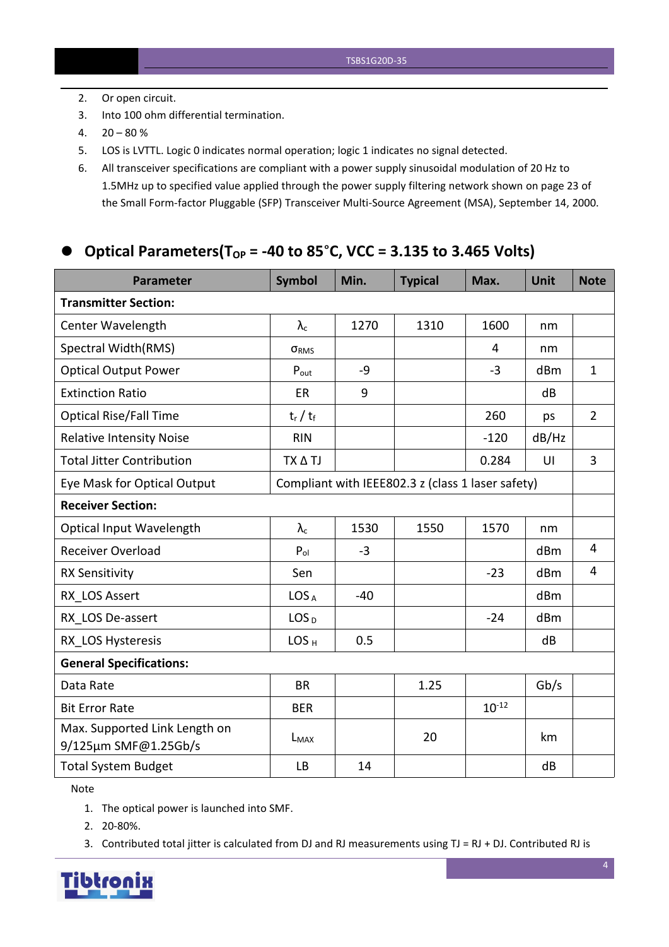- 2. Or open circuit.
- 3. Into 100 ohm differential termination.
- $4. \quad 20 80 \%$
- 5. LOS is LVTTL. Logic 0 indicates normal operation; logic 1 indicates no signal detected.
- 6. All transceiver specifications are compliant with a power supply sinusoidalmodulation of 20 Hz to 1.5MHz up to specified value applied through the powersupply filtering network shown on page 23 of the Small Form-factor Pluggable (SFP) Transceiver Multi-Source Agreement (MSA), September 14, 2000.

## **Optical Parameters(TOP = -40 to 85**°**C, VCC = 3.135 to 3.465 Volts)**

| <b>Parameter</b>                                                                 | <b>Symbol</b>     | Min.  | <b>Typical</b> | Max.       | <b>Unit</b> | <b>Note</b>    |
|----------------------------------------------------------------------------------|-------------------|-------|----------------|------------|-------------|----------------|
| <b>Transmitter Section:</b>                                                      |                   |       |                |            |             |                |
| Center Wavelength                                                                | $\lambda_{\rm c}$ | 1270  | 1310           | 1600       | nm          |                |
| Spectral Width(RMS)                                                              | ORMS              |       |                | 4          | nm          |                |
| <b>Optical Output Power</b>                                                      | $P_{\text{out}}$  | $-9$  |                | $-3$       | dBm         | $\mathbf{1}$   |
| <b>Extinction Ratio</b>                                                          | ER                | 9     |                |            | dB          |                |
| <b>Optical Rise/Fall Time</b>                                                    | $t_r / t_f$       |       |                | 260        | ps          | $\overline{2}$ |
| <b>Relative Intensity Noise</b>                                                  | <b>RIN</b>        |       |                | $-120$     | dB/Hz       |                |
| <b>Total Jitter Contribution</b>                                                 | TX A TJ           |       |                | 0.284      | UI          | $\overline{3}$ |
| Compliant with IEEE802.3 z (class 1 laser safety)<br>Eye Mask for Optical Output |                   |       |                |            |             |                |
| <b>Receiver Section:</b>                                                         |                   |       |                |            |             |                |
| <b>Optical Input Wavelength</b>                                                  | $\lambda_c$       | 1530  | 1550           | 1570       | nm          |                |
| Receiver Overload                                                                | $P_{ol}$          | $-3$  |                |            | dBm         | 4              |
| <b>RX Sensitivity</b>                                                            | Sen               |       |                | $-23$      | dBm         | $\overline{4}$ |
| RX LOS Assert                                                                    | LOS <sub>A</sub>  | $-40$ |                |            | dBm         |                |
| RX LOS De-assert                                                                 | LOS <sub>D</sub>  |       |                | $-24$      | dBm         |                |
| RX LOS Hysteresis                                                                | LOS <sub>H</sub>  | 0.5   |                |            | dB          |                |
| <b>General Specifications:</b>                                                   |                   |       |                |            |             |                |
| Data Rate                                                                        | <b>BR</b>         |       | 1.25           |            | Gb/s        |                |
| <b>Bit Error Rate</b>                                                            | <b>BER</b>        |       |                | $10^{-12}$ |             |                |
| Max. Supported Link Length on<br>9/125µm SMF@1.25Gb/s                            | $L_{MAX}$         |       | 20             |            | km          |                |
| <b>Total System Budget</b>                                                       | <b>LB</b>         | 14    |                |            | dB          |                |

Note

- 1. The optical power is launched into SMF.
- 2. 20-80%.
- 3. Contributed total jitter is calculated from DJ and RJ measurements using TJ = RJ + DJ. Contributed RJ is

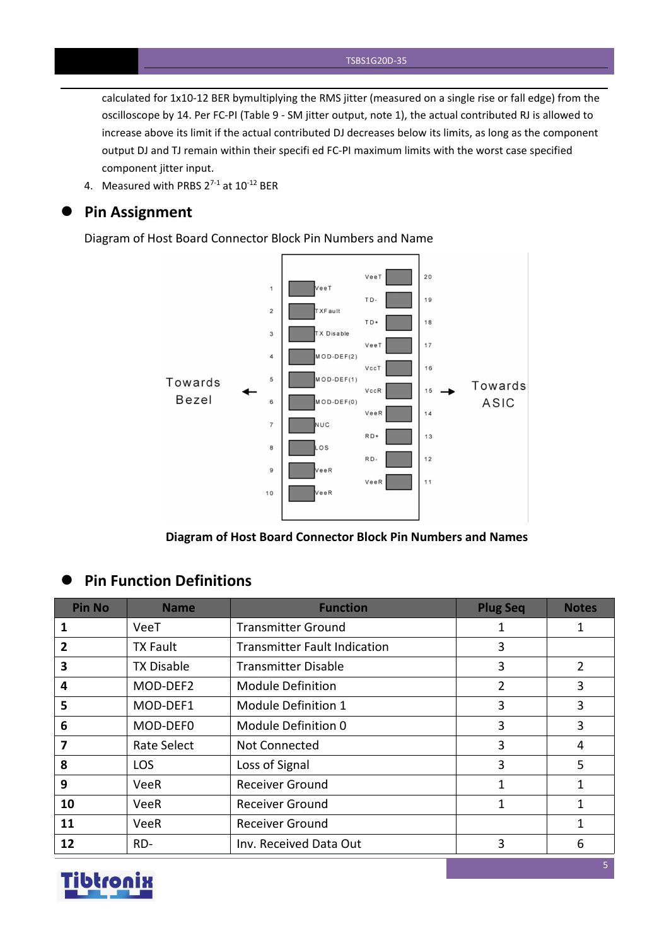calculated for 1x10-12 BER bymultiplying the RMS jitter (measured on a single rise or fall edge) from the oscilloscope by 14. Per FC-PI (Table 9 - SM jitter output, note 1), the actual contributed RJ is allowed to increase above its limit if the actual contributed DJ decreases below its limits, as long as the component output DJ and TJ remain within their specifi ed FC-PI maximum limits with the worst case specified component jitter input.

4. Measured with PRBS  $2^{7-1}$  at  $10^{-12}$  BER

#### **Pin Assignment**

Diagram of Host Board Connector Block Pin Numbers and Name



**Diagram of Host Board Connector Block Pin Numbers and Names**

## **Pin Function Definitions**

| <b>Pin No</b> | <b>Name</b>       | <b>Function</b>                     | <b>Plug Seq</b> | <b>Notes</b>   |
|---------------|-------------------|-------------------------------------|-----------------|----------------|
| 1             | VeeT              | <b>Transmitter Ground</b>           | 1               | 1              |
| 2             | <b>TX Fault</b>   | <b>Transmitter Fault Indication</b> | 3               |                |
| 3             | <b>TX Disable</b> | <b>Transmitter Disable</b>          | 3               | $\overline{2}$ |
| 4             | MOD-DEF2          | <b>Module Definition</b>            | 2               | 3              |
| 5             | MOD-DEF1          | Module Definition 1                 | 3               | 3              |
| 6             | MOD-DEF0          | Module Definition 0                 | 3               | 3              |
| 7             | Rate Select       | Not Connected                       | 3               | 4              |
| 8             | LOS               | Loss of Signal                      | 3               | 5              |
| 9             | VeeR              | <b>Receiver Ground</b>              | 1               |                |
| 10            | VeeR              | <b>Receiver Ground</b>              | 1               | 1              |
| 11            | <b>VeeR</b>       | <b>Receiver Ground</b>              |                 | 1              |
| 12            | RD-               | Inv. Received Data Out              | 3               | 6              |

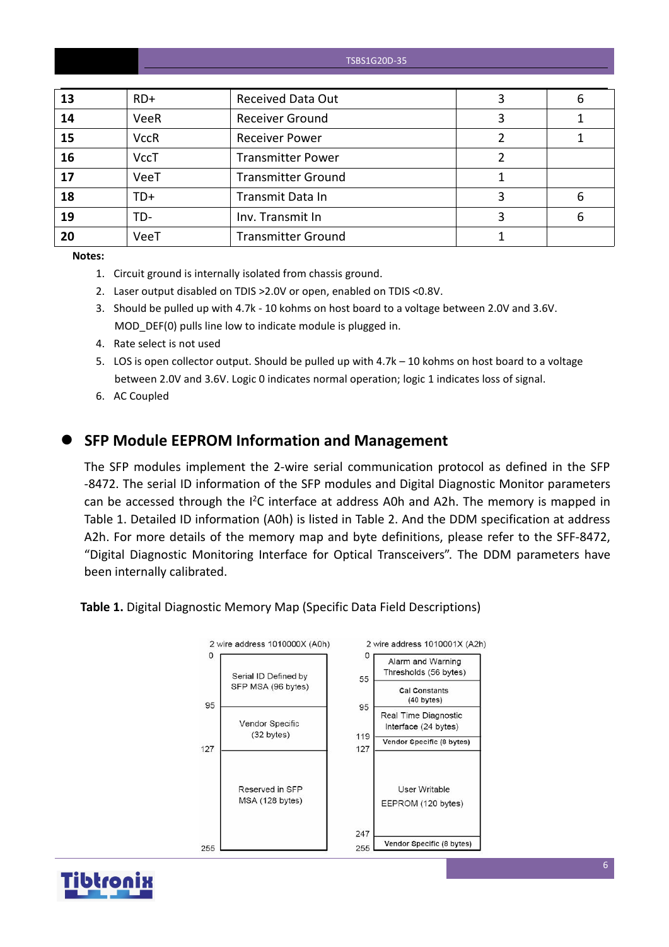#### TSBS1G20D-35

| 13 | $RD+$       | <b>Received Data Out</b>  | 6 |
|----|-------------|---------------------------|---|
| 14 | VeeR        | <b>Receiver Ground</b>    |   |
| 15 | <b>VccR</b> | <b>Receiver Power</b>     |   |
| 16 | <b>VccT</b> | <b>Transmitter Power</b>  |   |
| 17 | VeeT        | <b>Transmitter Ground</b> |   |
| 18 | TD+         | Transmit Data In          | 6 |
| 19 | TD-         | Inv. Transmit In          | 6 |
| 20 | VeeT        | <b>Transmitter Ground</b> |   |

**Notes:**

- 1. Circuit ground is internally isolated from chassis ground.
- 2. Laser output disabled on TDIS >2.0V or open, enabled on TDIS <0.8V.
- 3. Should be pulled up with 4.7k 10 kohms on host board to a voltage between 2.0V and 3.6V. MOD DEF(0) pulls line low to indicate module is plugged in.
- 4. Rate select is not used
- 5. LOS is open collector output. Should be pulled up with 4.7k 10 kohms on host board to a voltage between 2.0V and 3.6V. Logic 0 indicates normal operation; logic 1 indicates loss of signal.
- 6. AC Coupled

### **SFP Module EEPROM Information and Management**

The SFP modules implement the 2-wire serial communication protocol as defined in the SFP -8472. The serial ID information of the SFP modules and Digital Diagnostic Monitor parameters can be accessed through the  $I^2C$  interface at address A0h and A2h. The memory is mapped in Table 1. Detailed ID information (A0h) is listed in Table 2. And the DDM specification at address A2h. For more details of the memory map and byte definitions, please refer to the SFF-8472, "Digital Diagnostic Monitoring Interface for Optical Transceivers". The DDM parameters have been internally calibrated.

**Table 1.** Digital Diagnostic Memory Map (Specific Data Field Descriptions)



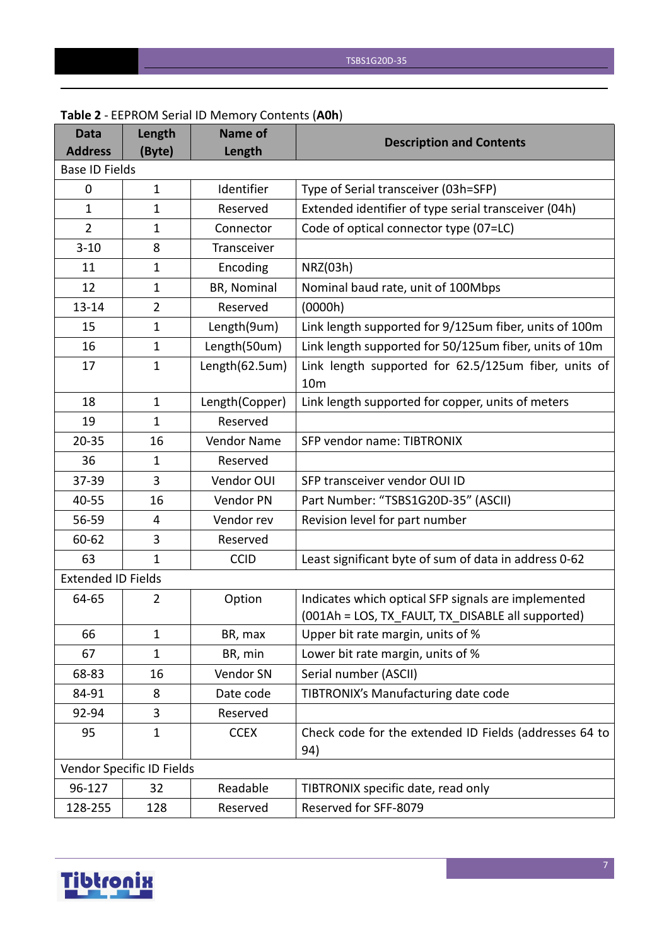| <b>Data</b><br><b>Address</b> | Length<br>(Byte)          | <b>Name of</b><br>Length | <b>Description and Contents</b>                                         |
|-------------------------------|---------------------------|--------------------------|-------------------------------------------------------------------------|
| <b>Base ID Fields</b>         |                           |                          |                                                                         |
| 0                             | $\mathbf{1}$              | Identifier               | Type of Serial transceiver (03h=SFP)                                    |
| $\mathbf{1}$                  | $\mathbf{1}$              | Reserved                 | Extended identifier of type serial transceiver (04h)                    |
| $\overline{2}$                | $\mathbf{1}$              | Connector                | Code of optical connector type (07=LC)                                  |
| $3 - 10$                      | 8                         | Transceiver              |                                                                         |
| 11                            | $\mathbf{1}$              | Encoding                 | NRZ(03h)                                                                |
| 12                            | $\mathbf{1}$              | BR, Nominal              | Nominal baud rate, unit of 100Mbps                                      |
| $13 - 14$                     | $\overline{2}$            | Reserved                 | (0000h)                                                                 |
| 15                            | 1                         | Length(9um)              | Link length supported for 9/125um fiber, units of 100m                  |
| 16                            | $\mathbf{1}$              | Length(50um)             | Link length supported for 50/125um fiber, units of 10m                  |
| 17                            | $\mathbf{1}$              | Length(62.5um)           | Link length supported for 62.5/125um fiber, units of<br>10 <sub>m</sub> |
| 18                            | $\mathbf{1}$              | Length(Copper)           | Link length supported for copper, units of meters                       |
| 19                            | $\mathbf{1}$              | Reserved                 |                                                                         |
| $20 - 35$                     | 16                        | Vendor Name              | SFP vendor name: TIBTRONIX                                              |
| 36                            | 1                         | Reserved                 |                                                                         |
| 37-39                         | 3                         | Vendor OUI               | SFP transceiver vendor OUI ID                                           |
| 40-55                         | 16                        | Vendor PN                | Part Number: "TSBS1G20D-35" (ASCII)                                     |
| 56-59                         | 4                         | Vendor rev               | Revision level for part number                                          |
| 60-62                         | 3                         | Reserved                 |                                                                         |
| 63                            | $\mathbf{1}$              | <b>CCID</b>              | Least significant byte of sum of data in address 0-62                   |
| <b>Extended ID Fields</b>     |                           |                          |                                                                         |
| 64-65                         | $\overline{2}$            | Option                   | Indicates which optical SFP signals are implemented                     |
|                               |                           |                          | (001Ah = LOS, TX_FAULT, TX_DISABLE all supported)                       |
| 66                            | 1                         | BR, max                  | Upper bit rate margin, units of %                                       |
| 67                            | $\mathbf{1}$              | BR, min                  | Lower bit rate margin, units of %                                       |
| 68-83                         | 16                        | Vendor SN                | Serial number (ASCII)                                                   |
| 84-91                         | 8                         | Date code                | TIBTRONIX's Manufacturing date code                                     |
| 92-94                         | 3                         | Reserved                 |                                                                         |
| 95                            | $\mathbf{1}$              | <b>CCEX</b>              | Check code for the extended ID Fields (addresses 64 to<br>94)           |
|                               | Vendor Specific ID Fields |                          |                                                                         |
| 96-127                        | 32                        | Readable                 | TIBTRONIX specific date, read only                                      |
| 128-255                       | 128                       | Reserved                 | Reserved for SFF-8079                                                   |

#### **Table 2** - EEPROM Serial ID Memory Contents (**A0h**)

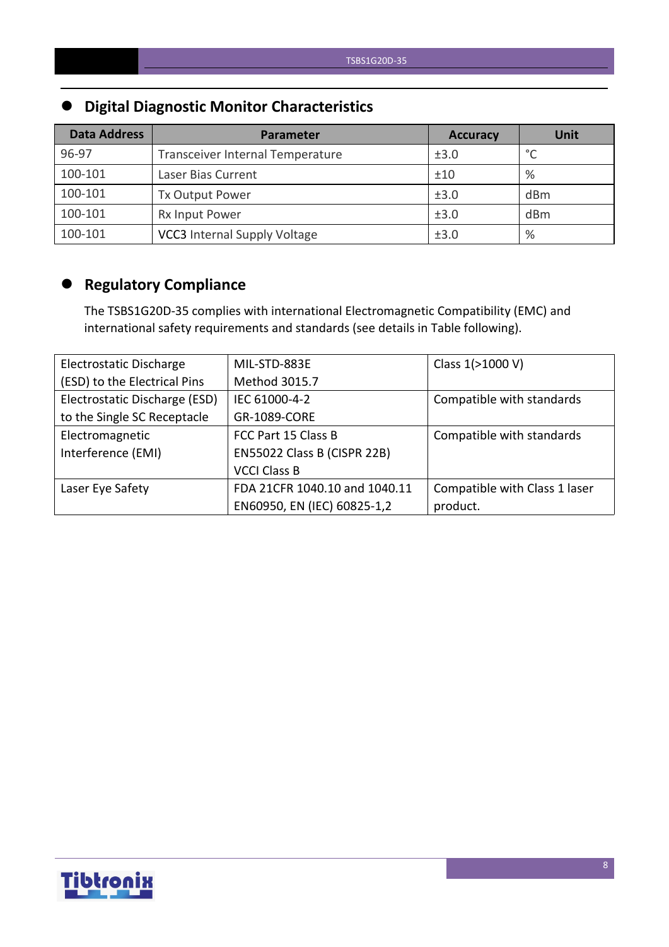## **Digital Diagnostic Monitor Characteristics**

| <b>Data Address</b> | Parameter                           | <b>Accuracy</b> | <b>Unit</b> |
|---------------------|-------------------------------------|-----------------|-------------|
| 96-97               | Transceiver Internal Temperature    | ±3.0            | $\circ$     |
| 100-101             | Laser Bias Current                  | ±10             | %           |
| 100-101             | <b>Tx Output Power</b>              | ±3.0            | dBm         |
| 100-101             | Rx Input Power                      | ±3.0            | dBm         |
| 100-101             | <b>VCC3</b> Internal Supply Voltage | ±3.0            | %           |

## **Regulatory Compliance**

The TSBS1G20D-35 complies with international Electromagnetic Compatibility (EMC) and international safety requirements and standards (see details in Table following).

| Electrostatic Discharge       | MIL-STD-883E                  | Class 1(>1000 V)              |
|-------------------------------|-------------------------------|-------------------------------|
| (ESD) to the Electrical Pins  | Method 3015.7                 |                               |
| Electrostatic Discharge (ESD) | IEC 61000-4-2                 | Compatible with standards     |
| to the Single SC Receptacle   | GR-1089-CORE                  |                               |
| Electromagnetic               | FCC Part 15 Class B           | Compatible with standards     |
| Interference (EMI)            | EN55022 Class B (CISPR 22B)   |                               |
|                               | <b>VCCI Class B</b>           |                               |
| Laser Eye Safety              | FDA 21CFR 1040.10 and 1040.11 | Compatible with Class 1 laser |
|                               | EN60950, EN (IEC) 60825-1,2   | product.                      |

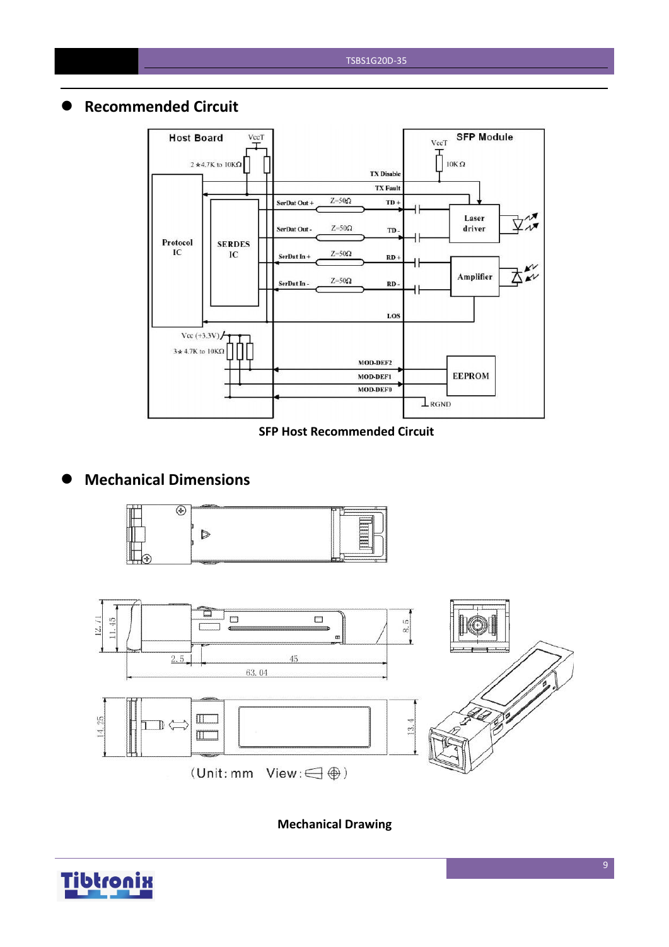## **Recommended Circuit**



#### **SFP Host Recommended Circuit**

## **Mechanical Dimensions**





**Mechanical Drawing**